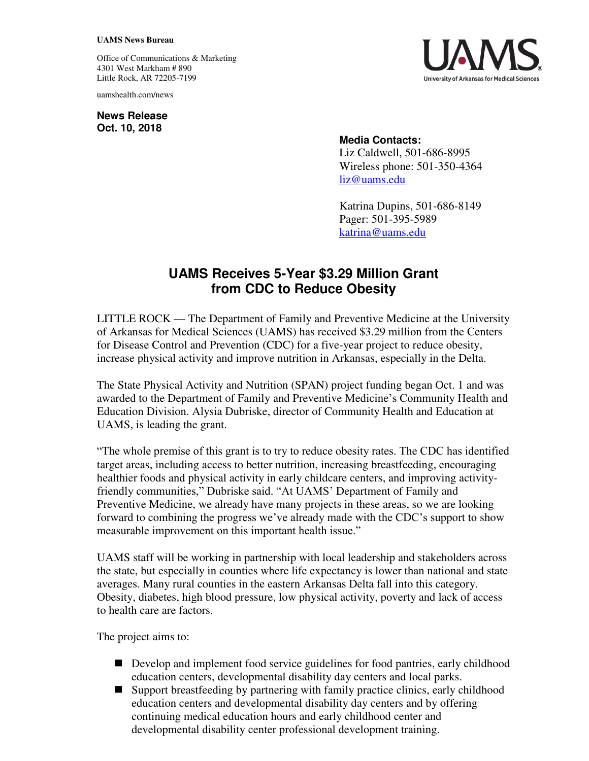## **UAMS News Bureau**

Office of Communications & Marketing 4301 West Markham # 890 Little Rock, AR 72205-7199

uamshealth.com/news

**News Release Oct. 10, 2018**



## **Media Contacts:**

Liz Caldwell, 501-686-8995 Wireless phone: 501-350-4364 [liz@uams.edu](mailto:liz@uams.edu) 

Katrina Dupins, 501-686-8149 Pager: 501-395-5989 katrina@uams.edu

## **UAMS Receives 5-Year \$3.29 Million Grant from CDC to Reduce Obesity**

LITTLE ROCK — The Department of Family and Preventive Medicine at the University of Arkansas for Medical Sciences (UAMS) has received \$3.29 million from the Centers for Disease Control and Prevention (CDC) for a five-year project to reduce obesity, increase physical activity and improve nutrition in Arkansas, especially in the Delta.

The State Physical Activity and Nutrition (SPAN) project funding began Oct. 1 and was awarded to the Department of Family and Preventive Medicine's Community Health and Education Division. Alysia Dubriske, director of Community Health and Education at UAMS, is leading the grant.

"The whole premise of this grant is to try to reduce obesity rates. The CDC has identified target areas, including access to better nutrition, increasing breastfeeding, encouraging healthier foods and physical activity in early childcare centers, and improving activityfriendly communities," Dubriske said. "At UAMS' Department of Family and Preventive Medicine, we already have many projects in these areas, so we are looking forward to combining the progress we've already made with the CDC's support to show measurable improvement on this important health issue."

UAMS staff will be working in partnership with local leadership and stakeholders across the state, but especially in counties where life expectancy is lower than national and state averages. Many rural counties in the eastern Arkansas Delta fall into this category. Obesity, diabetes, high blood pressure, low physical activity, poverty and lack of access to health care are factors.

The project aims to:

- Develop and implement food service guidelines for food pantries, early childhood education centers, developmental disability day centers and local parks.
- Support breastfeeding by partnering with family practice clinics, early childhood education centers and developmental disability day centers and by offering continuing medical education hours and early childhood center and developmental disability center professional development training.